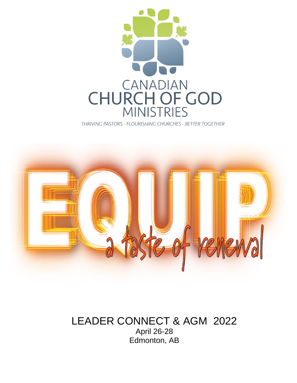

THRIVING PASTORS - FLOURISHING CHURCHES - BETTER TOGETHER



### LEADER CONNECT & AGM 2022 April 26-28 Edmonton, AB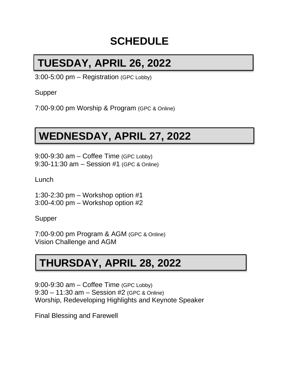## **SCHEDULE**

# **TUESDAY, APRIL 26, 2022**

3:00-5:00 pm – Registration (GPC Lobby)

Supper

7:00-9:00 pm Worship & Program (GPC & Online)

# **WEDNESDAY, APRIL 27, 2022**

9:00-9:30 am – Coffee Time (GPC Lobby) 9:30-11:30 am – Session #1 (GPC & Online)

Lunch

1:30-2:30 pm – Workshop option #1 3:00-4:00 pm – Workshop option #2

Supper

7:00-9:00 pm Program & AGM (GPC & Online) Vision Challenge and AGM

# **THURSDAY, APRIL 28, 2022**

9:00-9:30 am – Coffee Time (GPC Lobby) 9:30 – 11:30 am – Session #2 (GPC & Online) Worship, Redeveloping Highlights and Keynote Speaker

Final Blessing and Farewell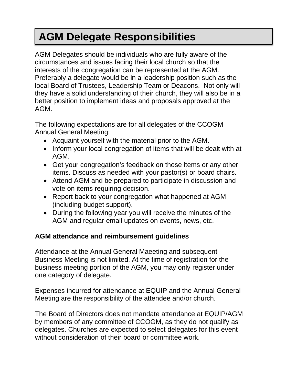# **AGM Delegate Responsibilities**

AGM Delegates should be individuals who are fully aware of the circumstances and issues facing their local church so that the interests of the congregation can be represented at the AGM. Preferably a delegate would be in a leadership position such as the local Board of Trustees, Leadership Team or Deacons. Not only will they have a solid understanding of their church, they will also be in a better position to implement ideas and proposals approved at the AGM.

The following expectations are for all delegates of the CCOGM Annual General Meeting:

- Acquaint yourself with the material prior to the AGM.
- Inform your local congregation of items that will be dealt with at AGM.
- Get your congregation's feedback on those items or any other items. Discuss as needed with your pastor(s) or board chairs.
- Attend AGM and be prepared to participate in discussion and vote on items requiring decision.
- Report back to your congregation what happened at AGM (including budget support).
- During the following year you will receive the minutes of the AGM and regular email updates on events, news, etc.

### **AGM attendance and reimbursement guidelines**

Attendance at the Annual General Maeeting and subsequent Business Meeting is not limited. At the time of registration for the business meeting portion of the AGM, you may only register under one category of delegate.

Expenses incurred for attendance at EQUIP and the Annual General Meeting are the responsibility of the attendee and/or church.

The Board of Directors does not mandate attendance at EQUIP/AGM by members of any committee of CCOGM, as they do not qualify as delegates. Churches are expected to select delegates for this event without consideration of their board or committee work.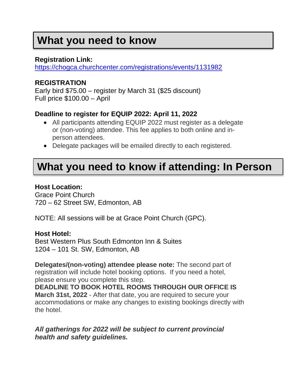## **What you need to know**

### **Registration Link:**

<https://chogca.churchcenter.com/registrations/events/1131982>

### **REGISTRATION**

Early bird \$75.00 – register by March 31 (\$25 discount) Full price \$100.00 – April

### **Deadline to register for EQUIP 2022: April 11, 2022**

- All participants attending EQUIP 2022 must register as a delegate or (non-voting) attendee. This fee applies to both online and inperson attendees.
- Delegate packages will be emailed directly to each registered.

## **What you need to know if attending: In Person**

#### **Host Location:**

Grace Point Church 720 – 62 Street SW, Edmonton, AB

NOTE: All sessions will be at Grace Point Church (GPC).

#### **Host Hotel:**

Best Western Plus South Edmonton Inn & Suites 1204 – 101 St. SW, Edmonton, AB

**Delegates/(non-voting) attendee please note:** The second part of registration will include hotel booking options. If you need a hotel, please ensure you complete this step.

**DEADLINE TO BOOK HOTEL ROOMS THROUGH OUR OFFICE IS March 31st, 2022** - After that date, you are required to secure your accommodations or make any changes to existing bookings directly with the hotel.

*All gatherings for 2022 will be subject to current provincial health and safety guidelines.*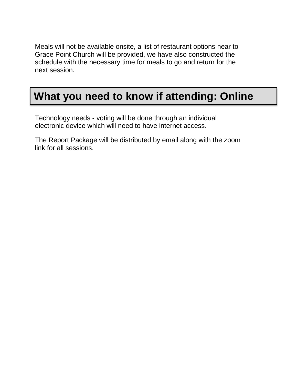Meals will not be available onsite, a list of restaurant options near to Grace Point Church will be provided, we have also constructed the schedule with the necessary time for meals to go and return for the next session.

## **What you need to know if attending: Online**

Technology needs - voting will be done through an individual electronic device which will need to have internet access.

The Report Package will be distributed by email along with the zoom link for all sessions.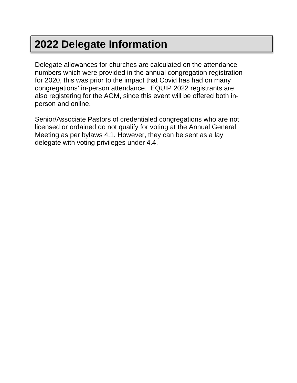# **2022 Delegate Information**

Delegate allowances for churches are calculated on the attendance numbers which were provided in the annual congregation registration for 2020, this was prior to the impact that Covid has had on many congregations' in-person attendance. EQUIP 2022 registrants are also registering for the AGM, since this event will be offered both inperson and online.

Senior/Associate Pastors of credentialed congregations who are not licensed or ordained do not qualify for voting at the Annual General Meeting as per bylaws 4.1. However, they can be sent as a lay delegate with voting privileges under 4.4.